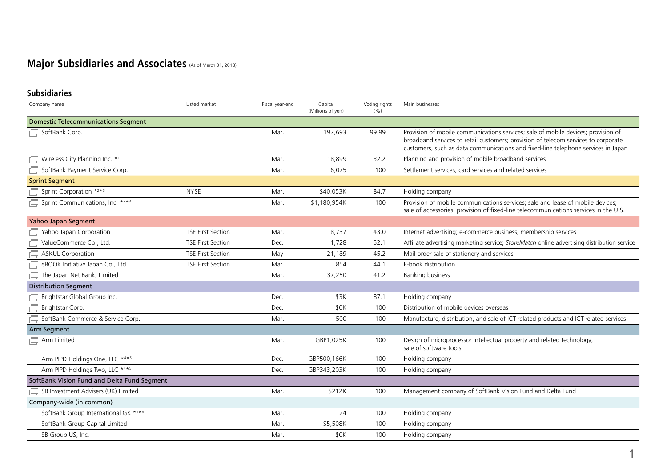# **Major Subsidiaries and Associates (As of March 31, 2018)**

## **Subsidiaries**

| Company name                                | Listed market            | Fiscal year-end | Capital<br>(Millions of yen) | Voting rights<br>(%) | Main businesses                                                                                                                                                                                                                                              |
|---------------------------------------------|--------------------------|-----------------|------------------------------|----------------------|--------------------------------------------------------------------------------------------------------------------------------------------------------------------------------------------------------------------------------------------------------------|
| <b>Domestic Telecommunications Segment</b>  |                          |                 |                              |                      |                                                                                                                                                                                                                                                              |
| SoftBank Corp.                              |                          | Mar.            | 197,693                      | 99.99                | Provision of mobile communications services; sale of mobile devices; provision of<br>broadband services to retail customers; provision of telecom services to corporate<br>customers, such as data communications and fixed-line telephone services in Japan |
| Wireless City Planning Inc. *1              |                          | Mar.            | 18,899                       | 32.2                 | Planning and provision of mobile broadband services                                                                                                                                                                                                          |
| SoftBank Payment Service Corp.              |                          | Mar.            | 6,075                        | 100                  | Settlement services; card services and related services                                                                                                                                                                                                      |
| <b>Sprint Segment</b>                       |                          |                 |                              |                      |                                                                                                                                                                                                                                                              |
| Sprint Corporation *2*3                     | <b>NYSE</b>              | Mar.            | \$40,053K                    | 84.7                 | Holding company                                                                                                                                                                                                                                              |
| Sprint Communications, Inc. *2*3            |                          | Mar.            | \$1,180,954K                 | 100                  | Provision of mobile communications services; sale and lease of mobile devices;<br>sale of accessories; provision of fixed-line telecommunications services in the U.S.                                                                                       |
| Yahoo Japan Segment                         |                          |                 |                              |                      |                                                                                                                                                                                                                                                              |
| Yahoo Japan Corporation                     | <b>TSE First Section</b> | Mar.            | 8,737                        | 43.0                 | Internet advertising; e-commerce business; membership services                                                                                                                                                                                               |
| ValueCommerce Co., Ltd.                     | <b>TSE First Section</b> | Dec.            | 1.728                        | 52.1                 | Affiliate advertising marketing service; StoreMatch online advertising distribution service                                                                                                                                                                  |
| <b>ASKUL Corporation</b>                    | <b>TSE First Section</b> | May             | 21,189                       | 45.2                 | Mail-order sale of stationery and services                                                                                                                                                                                                                   |
| eBOOK Initiative Japan Co., Ltd.            | <b>TSE First Section</b> | Mar.            | 854                          | 44.1                 | E-book distribution                                                                                                                                                                                                                                          |
| The Japan Net Bank, Limited                 |                          | Mar.            | 37,250                       | 41.2                 | <b>Banking business</b>                                                                                                                                                                                                                                      |
| <b>Distribution Segment</b>                 |                          |                 |                              |                      |                                                                                                                                                                                                                                                              |
| Brightstar Global Group Inc.                |                          | Dec.            | \$3K                         | 87.1                 | Holding company                                                                                                                                                                                                                                              |
| Brightstar Corp.                            |                          | Dec.            | \$0K                         | 100                  | Distribution of mobile devices overseas                                                                                                                                                                                                                      |
| SoftBank Commerce & Service Corp.           |                          | Mar.            | 500                          | 100                  | Manufacture, distribution, and sale of ICT-related products and ICT-related services                                                                                                                                                                         |
| Arm Segment                                 |                          |                 |                              |                      |                                                                                                                                                                                                                                                              |
| $\Box$ Arm Limited                          |                          | Mar.            | GBP1,025K                    | 100                  | Design of microprocessor intellectual property and related technology;<br>sale of software tools                                                                                                                                                             |
| Arm PIPD Holdings One, LLC *4*5             |                          | Dec.            | GBP500,166K                  | 100                  | Holding company                                                                                                                                                                                                                                              |
| Arm PIPD Holdings Two, LLC *4*5             |                          | Dec.            | GBP343,203K                  | 100                  | Holding company                                                                                                                                                                                                                                              |
| SoftBank Vision Fund and Delta Fund Segment |                          |                 |                              |                      |                                                                                                                                                                                                                                                              |
| SB Investment Advisers (UK) Limited         |                          | Mar.            | \$212K                       | 100                  | Management company of SoftBank Vision Fund and Delta Fund                                                                                                                                                                                                    |
| Company-wide (in common)                    |                          |                 |                              |                      |                                                                                                                                                                                                                                                              |
| SoftBank Group International GK *5*6        |                          | Mar.            | 24                           | 100                  | Holding company                                                                                                                                                                                                                                              |
| SoftBank Group Capital Limited              |                          | Mar.            | \$5,508K                     | 100                  | Holding company                                                                                                                                                                                                                                              |
| SB Group US, Inc.                           |                          | Mar.            | \$0K                         | 100                  | Holding company                                                                                                                                                                                                                                              |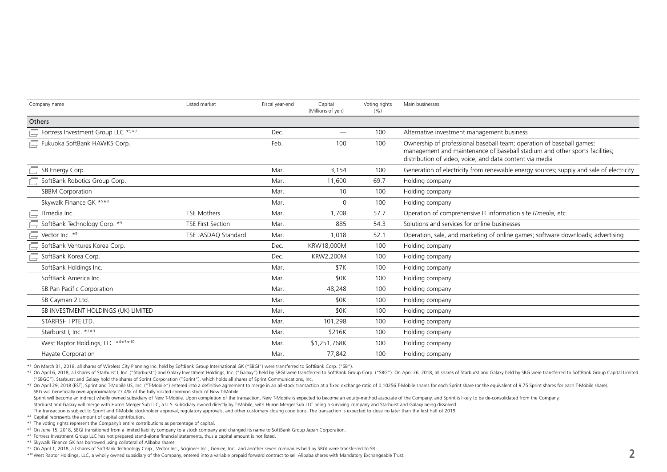| Company name                        | Listed market            | Fiscal year-end | Capital<br>(Millions of yen) | Voting rights<br>(%) | Main businesses                                                                                                                                                                                                  |
|-------------------------------------|--------------------------|-----------------|------------------------------|----------------------|------------------------------------------------------------------------------------------------------------------------------------------------------------------------------------------------------------------|
| Others                              |                          |                 |                              |                      |                                                                                                                                                                                                                  |
| Fortress Investment Group LLC *5*7  |                          | Dec.            |                              | 100                  | Alternative investment management business                                                                                                                                                                       |
| Fukuoka SoftBank HAWKS Corp.        |                          | Feb.            | 100                          | 100                  | Ownership of professional baseball team; operation of baseball games;<br>management and maintenance of baseball stadium and other sports facilities;<br>distribution of video, voice, and data content via media |
| SB Energy Corp.                     |                          | Mar.            | 3,154                        | 100                  | Generation of electricity from renewable energy sources; supply and sale of electricity                                                                                                                          |
| SoftBank Robotics Group Corp.       |                          | Mar.            | 11,600                       | 69.7                 | Holding company                                                                                                                                                                                                  |
| <b>SBBM Corporation</b>             |                          | Mar.            | 10                           | 100                  | Holding company                                                                                                                                                                                                  |
| Skywalk Finance GK *5*8             |                          | Mar.            | $\Omega$                     | 100                  | Holding company                                                                                                                                                                                                  |
| ITmedia Inc.                        | <b>TSE Mothers</b>       | Mar.            | 1,708                        | 57.7                 | Operation of comprehensive IT information site ITmedia, etc.                                                                                                                                                     |
| SoftBank Technology Corp. *9        | <b>TSE First Section</b> | Mar.            | 885                          | 54.3                 | Solutions and services for online businesses                                                                                                                                                                     |
| Vector Inc. *9                      | TSE JASDAQ Standard      | Mar.            | 1,018                        | 52.1                 | Operation, sale, and marketing of online games; software downloads; advertising                                                                                                                                  |
| SoftBank Ventures Korea Corp.       |                          | Dec.            | KRW18,000M                   | 100                  | Holding company                                                                                                                                                                                                  |
| SoftBank Korea Corp.                |                          | Dec.            | KRW2,200M                    | 100                  | Holding company                                                                                                                                                                                                  |
| SoftBank Holdings Inc.              |                          | Mar.            | \$7K                         | 100                  | Holding company                                                                                                                                                                                                  |
| SoftBank America Inc.               |                          | Mar.            | \$0K                         | 100                  | Holding company                                                                                                                                                                                                  |
| SB Pan Pacific Corporation          |                          | Mar.            | 48,248                       | 100                  | Holding company                                                                                                                                                                                                  |
| SB Cayman 2 Ltd.                    |                          | Mar.            | \$0K                         | 100                  | Holding company                                                                                                                                                                                                  |
| SB INVESTMENT HOLDINGS (UK) LIMITED |                          | Mar.            | \$0K                         | 100                  | Holding company                                                                                                                                                                                                  |
| STARFISH I PTE LTD.                 |                          | Mar.            | 101,298                      | 100                  | Holding company                                                                                                                                                                                                  |
| Starburst I. Inc. * <sup>2*3</sup>  |                          | Mar.            | \$216K                       | 100                  | Holding company                                                                                                                                                                                                  |
| West Raptor Holdings, LLC *4*5*10   |                          | Mar.            | \$1,251,768K                 | 100                  | Holding company                                                                                                                                                                                                  |
| Hayate Corporation                  |                          | Mar.            | 77,842                       | 100                  | Holding company                                                                                                                                                                                                  |

\*1 On March 31, 2018, all shares of Wireless City Planning Inc. held by SoftBank Group International GK ("SBGI") were transferred to SoftBank Corp. ("SB").

\*2 On April 6, 2018, all shares of Starburst I, Inc. ("Starburst") and Galaxy Investment Holdings, Inc. ("Galaxy") held by SBGI were transferred to SoftBank Group Corp. ("SBG"). On April 26, 2018, all shares of Starburst a ("SBGC"). Starburst and Galaxy hold the shares of Sprint Corporation ("Sprint"), which holds all shares of Sprint Communications, Inc.

\*3 On April 29, 2018 (EST). Sprint and T-Mobile US, Inc. ("T-Mobile") entered into a definitive agreement to merge in an all-stock transaction at a fixed exchange ratio of 0.10256 T-Mobile shares for each Sprint share (or SBG will beneficially own approximately 27.4% of the fully diluted common stock of New T-Mobile.

Sprint will become an indirect wholly owned subsidiary of New T-Mobile. Upon completion of the transaction, New T-Mobile is expected to become an equity-method associate of the Company, and Sprint is likely to be de-consol

Starburst and Galaxy will merge with Huron Merger Sub LLC, a U.S. subsidiary owned directly by T-Mobile, with Huron Merger Sub LLC being a surviving company and Starburst and Galaxy being dissolved.

The transaction is subject to Sprint and T-Mobile stockholder approval, regulatory approvals, and other customary closing conditions. The transaction is expected to close no later than the first half of 2019.

\*4 Capital represents the amount of capital contribution.

\*5 The voting rights represent the Company's entire contributions as percentage of capital.

\*6 On June 15, 2018, SBGI transitioned from a limited liability company to a stock company and changed its name to SoftBank Group Japan Corporation.

\*7 Fortress Investment Group LLC has not prepared stand-alone financial statements, thus a capital amount is not listed.

\*8 Skywalk Finance GK has borrowed using collateral of Alibaba shares

\*10 West Raptor Holdings, LLC, a wholly owned subsidiary of the Company, entered into a variable prepaid forward contract to sell Alibaba shares with Mandatory Exchangeable Trust. **2**

<sup>\*9</sup> On April 1, 2018, all shares of SoftBank Technology Corp., Vector Inc., Scigineer Inc., Geniee, Inc., and another seven companies held by SBGI were transferred to SB.